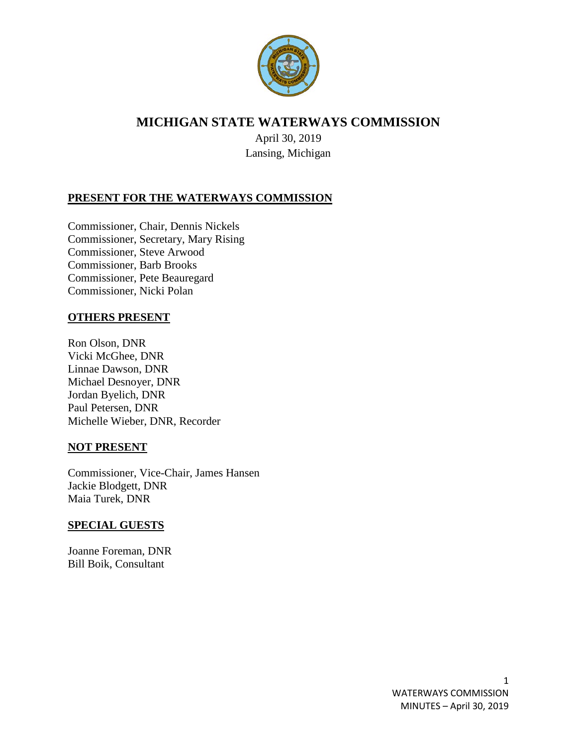

# **MICHIGAN STATE WATERWAYS COMMISSION**

April 30, 2019 Lansing, Michigan

## **PRESENT FOR THE WATERWAYS COMMISSION**

Commissioner, Chair, Dennis Nickels Commissioner, Secretary, Mary Rising Commissioner, Steve Arwood Commissioner, Barb Brooks Commissioner, Pete Beauregard Commissioner, Nicki Polan

#### **OTHERS PRESENT**

Ron Olson, DNR Vicki McGhee, DNR Linnae Dawson, DNR Michael Desnoyer, DNR Jordan Byelich, DNR Paul Petersen, DNR Michelle Wieber, DNR, Recorder

#### **NOT PRESENT**

Commissioner, Vice-Chair, James Hansen Jackie Blodgett, DNR Maia Turek, DNR

#### **SPECIAL GUESTS**

Joanne Foreman, DNR Bill Boik, Consultant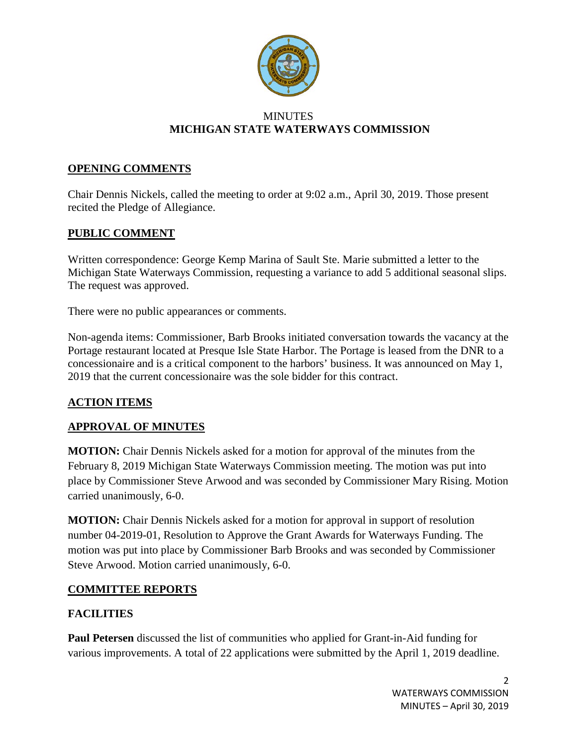

#### **MINUTES MICHIGAN STATE WATERWAYS COMMISSION**

### **OPENING COMMENTS**

Chair Dennis Nickels, called the meeting to order at 9:02 a.m., April 30, 2019. Those present recited the Pledge of Allegiance.

### **PUBLIC COMMENT**

Written correspondence: George Kemp Marina of Sault Ste. Marie submitted a letter to the Michigan State Waterways Commission, requesting a variance to add 5 additional seasonal slips. The request was approved.

There were no public appearances or comments.

Non-agenda items: Commissioner, Barb Brooks initiated conversation towards the vacancy at the Portage restaurant located at Presque Isle State Harbor. The Portage is leased from the DNR to a concessionaire and is a critical component to the harbors' business. It was announced on May 1, 2019 that the current concessionaire was the sole bidder for this contract.

## **ACTION ITEMS**

## **APPROVAL OF MINUTES**

**MOTION:** Chair Dennis Nickels asked for a motion for approval of the minutes from the February 8, 2019 Michigan State Waterways Commission meeting. The motion was put into place by Commissioner Steve Arwood and was seconded by Commissioner Mary Rising. Motion carried unanimously, 6-0.

**MOTION:** Chair Dennis Nickels asked for a motion for approval in support of resolution number 04-2019-01, Resolution to Approve the Grant Awards for Waterways Funding. The motion was put into place by Commissioner Barb Brooks and was seconded by Commissioner Steve Arwood. Motion carried unanimously, 6-0.

#### **COMMITTEE REPORTS**

## **FACILITIES**

**Paul Petersen** discussed the list of communities who applied for Grant-in-Aid funding for various improvements. A total of 22 applications were submitted by the April 1, 2019 deadline.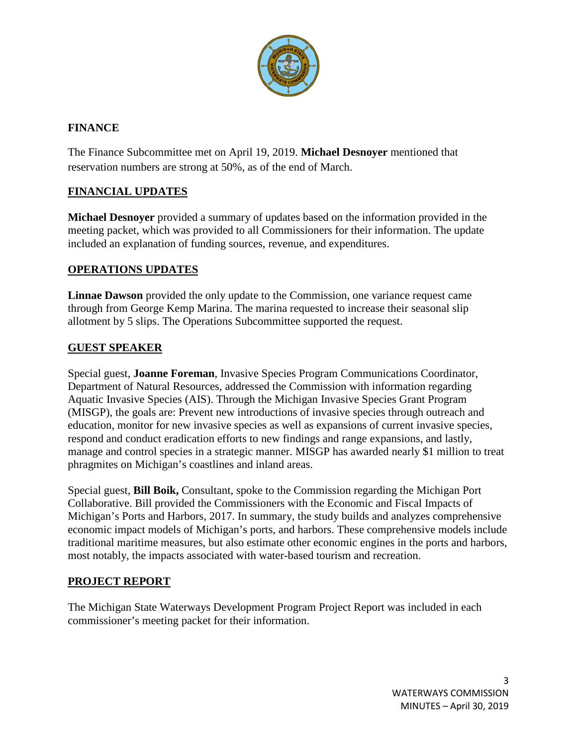

## **FINANCE**

The Finance Subcommittee met on April 19, 2019. **Michael Desnoyer** mentioned that reservation numbers are strong at 50%, as of the end of March.

# **FINANCIAL UPDATES**

**Michael Desnoyer** provided a summary of updates based on the information provided in the meeting packet, which was provided to all Commissioners for their information. The update included an explanation of funding sources, revenue, and expenditures.

### **OPERATIONS UPDATES**

**Linnae Dawson** provided the only update to the Commission, one variance request came through from George Kemp Marina. The marina requested to increase their seasonal slip allotment by 5 slips. The Operations Subcommittee supported the request.

### **GUEST SPEAKER**

Special guest, **Joanne Foreman**, Invasive Species Program Communications Coordinator, Department of Natural Resources, addressed the Commission with information regarding Aquatic Invasive Species (AIS). Through the Michigan Invasive Species Grant Program (MISGP), the goals are: Prevent new introductions of invasive species through outreach and education, monitor for new invasive species as well as expansions of current invasive species, respond and conduct eradication efforts to new findings and range expansions, and lastly, manage and control species in a strategic manner. MISGP has awarded nearly \$1 million to treat phragmites on Michigan's coastlines and inland areas.

Special guest, **Bill Boik,** Consultant, spoke to the Commission regarding the Michigan Port Collaborative. Bill provided the Commissioners with the Economic and Fiscal Impacts of Michigan's Ports and Harbors, 2017. In summary, the study builds and analyzes comprehensive economic impact models of Michigan's ports, and harbors. These comprehensive models include traditional maritime measures, but also estimate other economic engines in the ports and harbors, most notably, the impacts associated with water-based tourism and recreation.

## **PROJECT REPORT**

The Michigan State Waterways Development Program Project Report was included in each commissioner's meeting packet for their information.